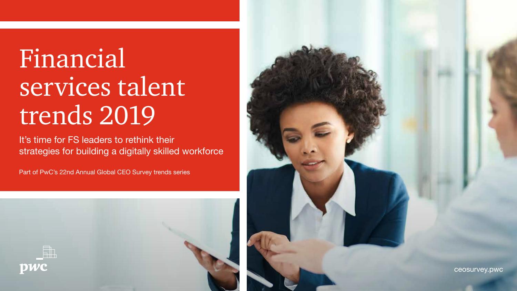# Financial services talent trends 2019

It's time for FS leaders to rethink their strategies for building a digitally skilled workforce

Part of PwC's 22nd Annual Global CEO Survey trends series



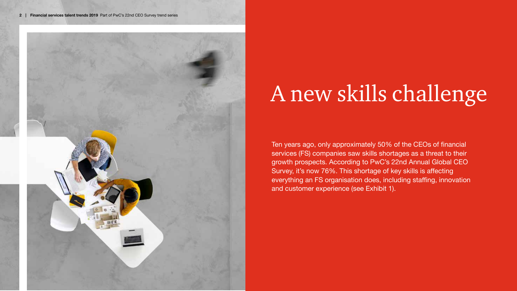

# A new skills challenge

Ten years ago, only approximately 50% of the CEOs of financial services (FS) companies saw skills shortages as a threat to their growth prospects. According to PwC's 22nd Annual Global CEO Survey, it's now 76%. This shortage of key skills is affecting everything an FS organisation does, including staffing, innovation and customer experience (see Exhibit 1).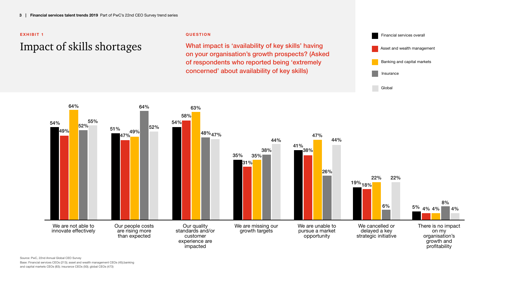### Impact of skills shortages **EXHIBIT 1 QUESTION**

What impact is 'availability of key skills' having on your organisation's growth prospects? (Asked of respondents who reported being 'extremely concerned' about availability of key skills)





Source: PwC, 22nd Annual Global CEO Survey

Base: Financial services CEOs (213); asset and wealth management CEOs (45);banking and capital markets CEOs (83); insurance CEOs (50); global CEOs (473)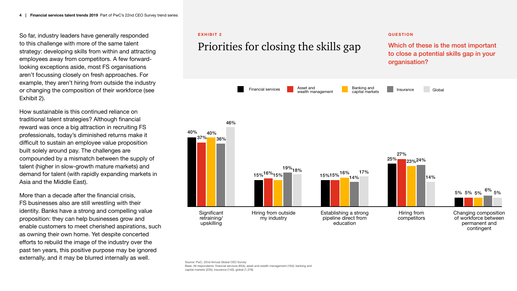So far, industry leaders have generally responded to this challenge with more of the same talent strategy: developing skills from within and attracting employees away from competitors. A few forwardlooking exceptions aside, most FS organisations aren't focussing closely on fresh approaches. For example, they aren't hiring from outside the industry or changing the composition of their workforce (see Exhibit 2).

How sustainable is this continued reliance on traditional talent strategies? Although financial reward was once a big attraction in recruiting FS professionals, today's diminished returns make it difficult to sustain an employee value proposition built solely around pay. The challenges are compounded by a mismatch between the supply of talent (higher in slow-growth mature markets) and demand for talent (with rapidly expanding markets in Asia and the Middle East).

More than a decade after the financial crisis, FS businesses also are still wrestling with their identity. Banks have a strong and compelling value proposition: they can help businesses grow and enable customers to meet cherished aspirations, such as owning their own home. Yet despite concerted efforts to rebuild the image of the industry over the past ten years, this positive purpose may be ignored externally, and it may be blurred internally as well.

#### **EXHIBIT 2 QUESTION**

### Priorities for closing the skills gap

Which of these is the most important to close a potential skills gap in your organisation?



Base: All respondents: financial services (654); asset and wealth management (164); banking and capital markets (235); insurance (140); global (1,378)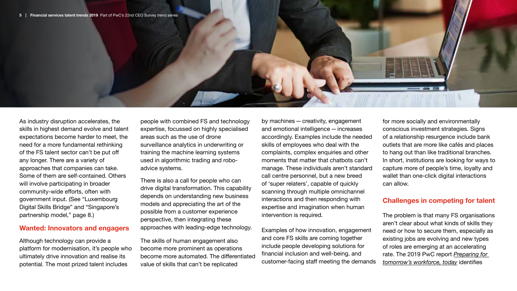As industry disruption accelerates, the skills in highest demand evolve and talent expectations become harder to meet, the need for a more fundamental rethinking of the FS talent sector can't be put off any longer. There are a variety of approaches that companies can take. Some of them are self-contained. Others will involve participating in broader community-wide efforts, often with government input. (See "Luxembourg Digital Skills Bridge" and "Singapore's partnership model," page 8.)

### **Wanted: Innovators and engagers**

Although technology can provide a platform for modernisation, it's people who ultimately drive innovation and realise its potential. The most prized talent includes

people with combined FS and technology expertise, focussed on highly specialised areas such as the use of drone surveillance analytics in underwriting or training the machine learning systems used in algorithmic trading and roboadvice systems.

There is also a call for people who can drive digital transformation. This capability depends on understanding new business models and appreciating the art of the possible from a customer experience perspective, then integrating these approaches with leading-edge technology.

The skills of human engagement also become more prominent as operations become more automated. The differentiated value of skills that can't be replicated

by machines—creativity, engagement and emotional intelligence—increases accordingly. Examples include the needed skills of employees who deal with the complaints, complex enquiries and other moments that matter that chatbots can't manage. These individuals aren't standard call centre personnel, but a new breed of 'super relaters', capable of quickly scanning through multiple omnichannel interactions and then responding with expertise and imagination when human intervention is required.

Examples of how innovation, engagement and core FS skills are coming together include people developing solutions for financial inclusion and well-being, and customer-facing staff meeting the demands for more socially and environmentally conscious investment strategies. Signs of a relationship resurgence include bank outlets that are more like cafés and places to hang out than like traditional branches. In short, institutions are looking for ways to capture more of people's time, loyalty and wallet than one-click digital interactions can allow.

### **Challenges in competing for talent**

The problem is that many FS organisations aren't clear about what kinds of skills they need or how to secure them, especially as existing jobs are evolving and new types of roles are emerging at an accelerating rate. The 2019 PwC report *[Preparing for](https://www.pwc.com/gx/en/services/people-organisation/publications/preparing-for-tomorrows-workforce-today.html)  [tomorrow's workforce, today](https://www.pwc.com/gx/en/services/people-organisation/publications/preparing-for-tomorrows-workforce-today.html)* identifies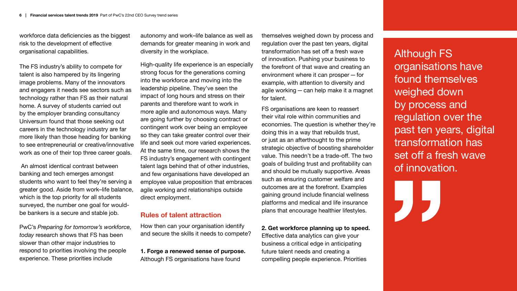workforce data deficiencies as the biggest risk to the development of effective organisational capabilities.

The FS industry's ability to compete for talent is also hampered by its lingering image problems. Many of the innovators and engagers it needs see sectors such as technology rather than FS as their natural home. A survey of students carried out by the employer branding consultancy Universum found that those seeking out careers in the technology industry are far more likely than those heading for banking to see entrepreneurial or creative/innovative work as one of their top three career goals.

 An almost identical contrast between banking and tech emerges amongst students who want to feel they're serving a greater good. Aside from work–life balance, which is the top priority for all students surveyed, the number one goal for wouldbe bankers is a secure and stable job.

PwC's *Preparing for tomorrow's workforce, today* research shows that FS has been slower than other major industries to respond to priorities involving the people experience. These priorities include

autonomy and work–life balance as well as demands for greater meaning in work and diversity in the workplace.

High-quality life experience is an especially strong focus for the generations coming into the workforce and moving into the leadership pipeline. They've seen the impact of long hours and stress on their parents and therefore want to work in more agile and autonomous ways. Many are going further by choosing contract or contingent work over being an employee so they can take greater control over their life and seek out more varied experiences. At the same time, our research shows the FS industry's engagement with contingent talent lags behind that of other industries, and few organisations have developed an employee value proposition that embraces agile working and relationships outside direct employment.

### **Rules of talent attraction**

How then can your organisation identify and secure the skills it needs to compete?

**1. Forge a renewed sense of purpose.** Although FS organisations have found

themselves weighed down by process and regulation over the past ten years, digital transformation has set off a fresh wave of innovation. Pushing your business to the forefront of that wave and creating an environment where it can prosper—for example, with attention to diversity and agile working—can help make it a magnet for talent.

FS organisations are keen to reassert their vital role within communities and economies. The question is whether they're doing this in a way that rebuilds trust, or just as an afterthought to the prime strategic objective of boosting shareholder value. This needn't be a trade-off. The two goals of building trust and profitability can and should be mutually supportive. Areas such as ensuring customer welfare and outcomes are at the forefront. Examples gaining ground include financial wellness platforms and medical and life insurance plans that encourage healthier lifestyles.

**2. Get workforce planning up to speed.**  Effective data analytics can give your business a critical edge in anticipating future talent needs and creating a compelling people experience. Priorities

Although FS organisations have found themselves weighed down by process and regulation over the past ten years, digital transformation has set off a fresh wave of innovation.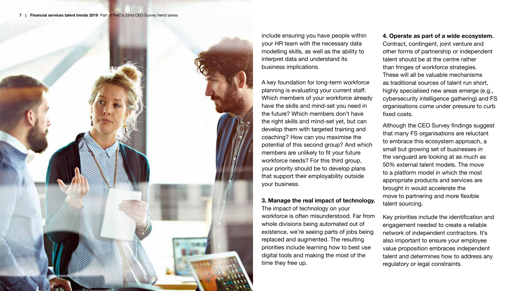

include ensuring you have people within your HR team with the necessary data modelling skills, as well as the ability to interpret data and understand its business implications.

A key foundation for long-term workforce planning is evaluating your current staff. Which members of your workforce already have the skills and mind-set you need in the future? Which members don't have the right skills and mind-set yet, but can develop them with targeted training and coaching? How can you maximise the potential of this second group? And which members are unlikely to fit your future workforce needs? For this third group, your priority should be to develop plans that support their employability outside your business.

### **3. Manage the real impact of technology.**

The impact of technology on your workforce is often misunderstood. Far from whole divisions being automated out of existence, we're seeing parts of jobs being replaced and augmented. The resulting priorities include learning how to best use digital tools and making the most of the time they free up.

### **4. Operate as part of a wide ecosystem.**  Contract, contingent, joint venture and other forms of partnership or independent talent should be at the centre rather than fringes of workforce strategies. These will all be valuable mechanisms as traditional sources of talent run short, highly specialised new areas emerge (e.g., cybersecurity intelligence gathering) and FS organisations come under pressure to curb fixed costs.

Although the CEO Survey findings suggest that many FS organisations are reluctant to embrace this ecosystem approach, a small but growing set of businesses in the vanguard are looking at as much as 50% external talent models. The move to a platform model in which the most appropriate products and services are brought in would accelerate the move to partnering and more flexible talent sourcing.

Key priorities include the identification and engagement needed to create a reliable network of independent contractors. It's also important to ensure your employee value proposition embraces independent talent and determines how to address any regulatory or legal constraints.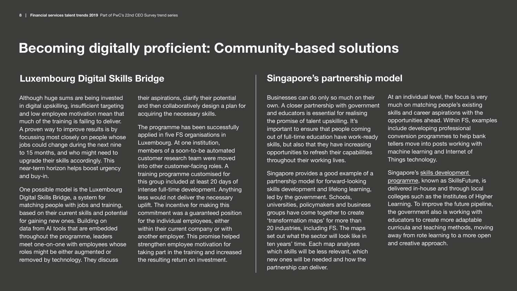### **Becoming digitally proficient: Community-based solutions**

### **Luxembourg Digital Skills Bridge Singapore's partnership model**

Although huge sums are being invested in digital upskilling, insufficient targeting and low employee motivation mean that much of the training is failing to deliver. A proven way to improve results is by focussing most closely on people whose jobs could change during the next nine to 15 months, and who might need to upgrade their skills accordingly. This near-term horizon helps boost urgency and buy-in.

One possible model is the Luxembourg Digital Skills Bridge, a system for matching people with jobs and training, based on their current skills and potential for gaining new ones. Building on data from AI tools that are embedded throughout the programme, leaders meet one-on-one with employees whose roles might be either augmented or removed by technology. They discuss

their aspirations, clarify their potential and then collaboratively design a plan for acquiring the necessary skills.

The programme has been successfully applied in five FS organisations in Luxembourg. At one institution, members of a soon-to-be automated customer research team were moved into other customer-facing roles. A training programme customised for this group included at least 20 days of intense full-time development. Anything less would not deliver the necessary uplift. The incentive for making this commitment was a guaranteed position for the individual employees, either within their current company or with another employer. This promise helped strengthen employee motivation for taking part in the training and increased the resulting return on investment.

Businesses can do only so much on their own. A closer partnership with government and educators is essential for realising the promise of talent upskilling. It's important to ensure that people coming out of full-time education have work-ready skills, but also that they have increasing opportunities to refresh their capabilities throughout their working lives.

Singapore provides a good example of a partnership model for forward-looking skills development and lifelong learning, led by the government. Schools, universities, policymakers and business groups have come together to create 'transformation maps' for more than 20 industries, including FS. The maps set out what the sector will look like in ten years' time. Each map analyses which skills will be less relevant, which new ones will be needed and how the partnership can deliver.

At an individual level, the focus is very much on matching people's existing skills and career aspirations with the opportunities ahead. Within FS, examples include developing professional conversion programmes to help bank tellers move into posts working with machine learning and Internet of Things technology.

Singapore's [skills development](https://www.straitstimes.com/singapore/education/higher-learning-institutes-to-train-more-adults)  [programme](https://www.straitstimes.com/singapore/education/higher-learning-institutes-to-train-more-adults), known as SkillsFuture, is delivered in-house and through local colleges such as the Institutes of Higher Learning. To improve the future pipeline, the government also is working with educators to create more adaptable curricula and teaching methods, moving away from rote learning to a more open and creative approach.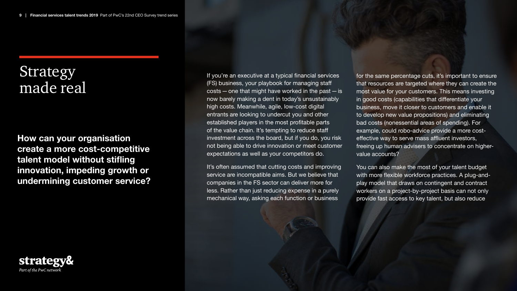## Strategy made real

**How can your organisation create a more cost-competitive talent model without stifling innovation, impeding growth or undermining customer service?** If you're an executive at a typical financial services (FS) business, your playbook for managing staff costs—one that might have worked in the past—is now barely making a dent in today's unsustainably high costs. Meanwhile, agile, low-cost digital entrants are looking to undercut you and other established players in the most profitable parts of the value chain. It's tempting to reduce staff investment across the board, but if you do, you risk not being able to drive innovation or meet customer expectations as well as your competitors do.

It's often assumed that cutting costs and improving service are incompatible aims. But we believe that companies in the FS sector can deliver more for less. Rather than just reducing expense in a purely mechanical way, asking each function or business

for the same percentage cuts, it's important to ensure that resources are targeted where they can create the most value for your customers. This means investing in good costs (capabilities that differentiate your business, move it closer to customers and enable it to develop new value propositions) and eliminating bad costs (nonessential areas of spending). For example, could robo-advice provide a more costeffective way to serve mass affluent investors, freeing up human advisers to concentrate on highervalue accounts?

You can also make the most of your talent budget with more flexible workforce practices. A plug-andplay model that draws on contingent and contract workers on a project-by-project basis can not only provide fast access to key talent, but also reduce

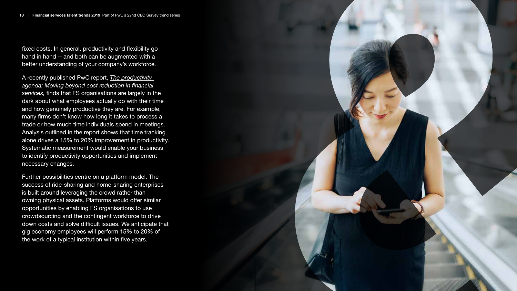fixed costs. In general, productivity and flexibility go hand in hand—and both can be augmented with a better understanding of your company's workforce.

A recently published PwC report, *[The productivity](https://www.pwc.com/gx/en/industries/financial-services/publications/productivity-agenda.html)  [agenda: Moving beyond cost reduction in financial](https://www.pwc.com/gx/en/industries/financial-services/publications/productivity-agenda.html)  [services](https://www.pwc.com/gx/en/industries/financial-services/publications/productivity-agenda.html),* finds that FS organisations are largely in the dark about what employees actually do with their time and how genuinely productive they are. For example, many firms don't know how long it takes to process a trade or how much time individuals spend in meetings. Analysis outlined in the report shows that time tracking alone drives a 15% to 20% improvement in productivity. Systematic measurement would enable your business to identify productivity opportunities and implement necessary changes.

Further possibilities centre on a platform model. The success of ride-sharing and home-sharing enterprises is built around leveraging the crowd rather than owning physical assets. Platforms would offer similar opportunities by enabling FS organisations to use crowdsourcing and the contingent workforce to drive down costs and solve difficult issues. We anticipate that gig economy employees will perform 15% to 20% of the work of a typical institution within five years.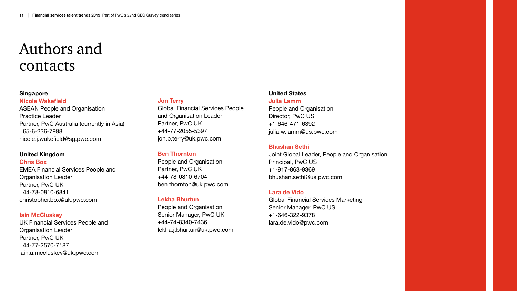# Authors and contacts

### **Singapore**

#### **Nicole Wakefield**

ASEAN People and Organisation Practice Leader Partner, PwC Australia (currently in Asia) +65-6-236-7998 nicole.j.wakefield@sg.pwc.com

### **United Kingdom**

**Chris Box**  EMEA Financial Services People and Organisation Leader Partner, PwC UK +44-78-0810-6841 christopher.box@uk.pwc.com

### **Iain McCluskey**

UK Financial Services People and **Organisation Leader** Partner, PwC UK +44-77-2570-7187 iain.a.mccluskey@uk.pwc.com

### **Jon Terry**

Global Financial Services People and Organisation Leader Partner, PwC UK +44-77-2055-5397 jon.p.terry@uk.pwc.com

### **Ben Thornton**

People and Organisation Partner, PwC UK +44-78-0810-6704 ben.thornton@uk.pwc.com

### **Lekha Bhurtun**

People and Organisation Senior Manager, PwC UK +44-74-8340-7436 lekha.j.bhurtun@uk.pwc.com

### **United States**

**Julia Lamm** 

People and Organisation Director, PwC US +1-646-471-6392 julia.w.lamm@us.pwc.com

### **Bhushan Sethi**

Joint Global Leader, People and Organisation Principal, PwC US +1-917-863-9369 bhushan.sethi@us.pwc.com

### **Lara de Vido**

Global Financial Services Marketing Senior Manager, PwC US +1-646-322-9378 lara.de.vido@pwc.com